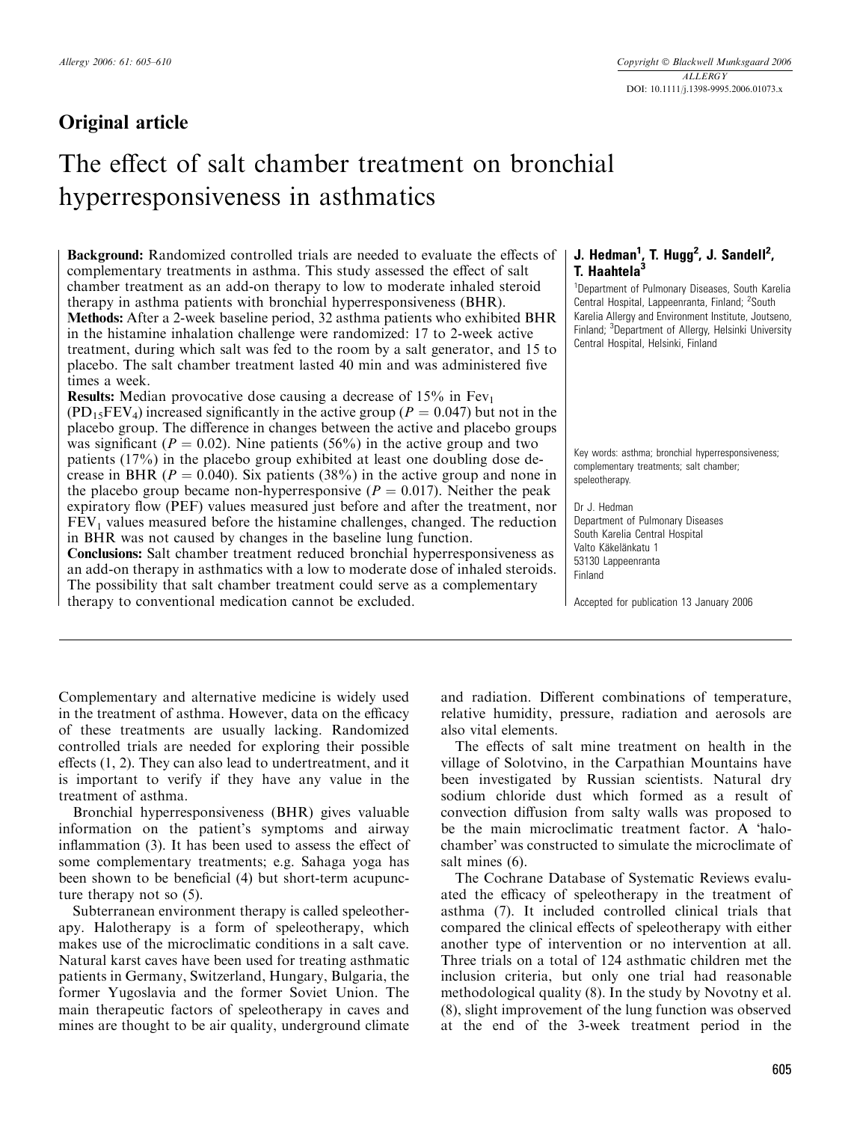# Original article

# The effect of salt chamber treatment on bronchial hyperresponsiveness in asthmatics

Background: Randomized controlled trials are needed to evaluate the effects of complementary treatments in asthma. This study assessed the effect of salt chamber treatment as an add-on therapy to low to moderate inhaled steroid therapy in asthma patients with bronchial hyperresponsiveness (BHR). Methods: After a 2-week baseline period, 32 asthma patients who exhibited BHR in the histamine inhalation challenge were randomized: 17 to 2-week active treatment, during which salt was fed to the room by a salt generator, and 15 to placebo. The salt chamber treatment lasted 40 min and was administered five times a week.

**Results:** Median provocative dose causing a decrease of  $15\%$  in Fev<sub>1</sub>  $(PD_{15}FEV_4)$  increased significantly in the active group ( $P = 0.047$ ) but not in the placebo group. The difference in changes between the active and placebo groups was significant ( $P = 0.02$ ). Nine patients (56%) in the active group and two patients (17%) in the placebo group exhibited at least one doubling dose decrease in BHR ( $P = 0.040$ ). Six patients (38%) in the active group and none in the placebo group became non-hyperresponsive ( $P = 0.017$ ). Neither the peak expiratory flow (PEF) values measured just before and after the treatment, nor  $FEV<sub>1</sub>$  values measured before the histamine challenges, changed. The reduction in BHR was not caused by changes in the baseline lung function. Conclusions: Salt chamber treatment reduced bronchial hyperresponsiveness as an add-on therapy in asthmatics with a low to moderate dose of inhaled steroids. The possibility that salt chamber treatment could serve as a complementary therapy to conventional medication cannot be excluded.

# J. Hedman $^1$ , T. Hugg $^2$ , J. Sandell $^2$ , T. Haahtela<sup>3</sup>

<sup>1</sup>Department of Pulmonary Diseases, South Karelia Central Hospital, Lappeenranta, Finland; <sup>2</sup>South Karelia Allergy and Environment Institute, Joutseno, Finland; <sup>3</sup>Department of Allergy, Helsinki University Central Hospital, Helsinki, Finland

Key words: asthma; bronchial hyperresponsiveness; complementary treatments; salt chamber; speleotherapy.

Dr J. Hedman Department of Pulmonary Diseases South Karelia Central Hospital Valto Käkelänkatu 1 53130 Lappeenranta Finland

Accepted for publication 13 January 2006

Complementary and alternative medicine is widely used in the treatment of asthma. However, data on the efficacy of these treatments are usually lacking. Randomized controlled trials are needed for exploring their possible effects (1, 2). They can also lead to undertreatment, and it is important to verify if they have any value in the treatment of asthma.

Bronchial hyperresponsiveness (BHR) gives valuable information on the patient's symptoms and airway inflammation (3). It has been used to assess the effect of some complementary treatments; e.g. Sahaga yoga has been shown to be beneficial (4) but short-term acupuncture therapy not so (5).

Subterranean environment therapy is called speleotherapy. Halotherapy is a form of speleotherapy, which makes use of the microclimatic conditions in a salt cave. Natural karst caves have been used for treating asthmatic patients in Germany, Switzerland, Hungary, Bulgaria, the former Yugoslavia and the former Soviet Union. The main therapeutic factors of speleotherapy in caves and mines are thought to be air quality, underground climate

and radiation. Different combinations of temperature, relative humidity, pressure, radiation and aerosols are also vital elements.

The effects of salt mine treatment on health in the village of Solotvino, in the Carpathian Mountains have been investigated by Russian scientists. Natural dry sodium chloride dust which formed as a result of convection diffusion from salty walls was proposed to be the main microclimatic treatment factor. A 'halochamber" was constructed to simulate the microclimate of salt mines (6).

The Cochrane Database of Systematic Reviews evaluated the efficacy of speleotherapy in the treatment of asthma (7). It included controlled clinical trials that compared the clinical effects of speleotherapy with either another type of intervention or no intervention at all. Three trials on a total of 124 asthmatic children met the inclusion criteria, but only one trial had reasonable methodological quality (8). In the study by Novotny et al. (8), slight improvement of the lung function was observed at the end of the 3-week treatment period in the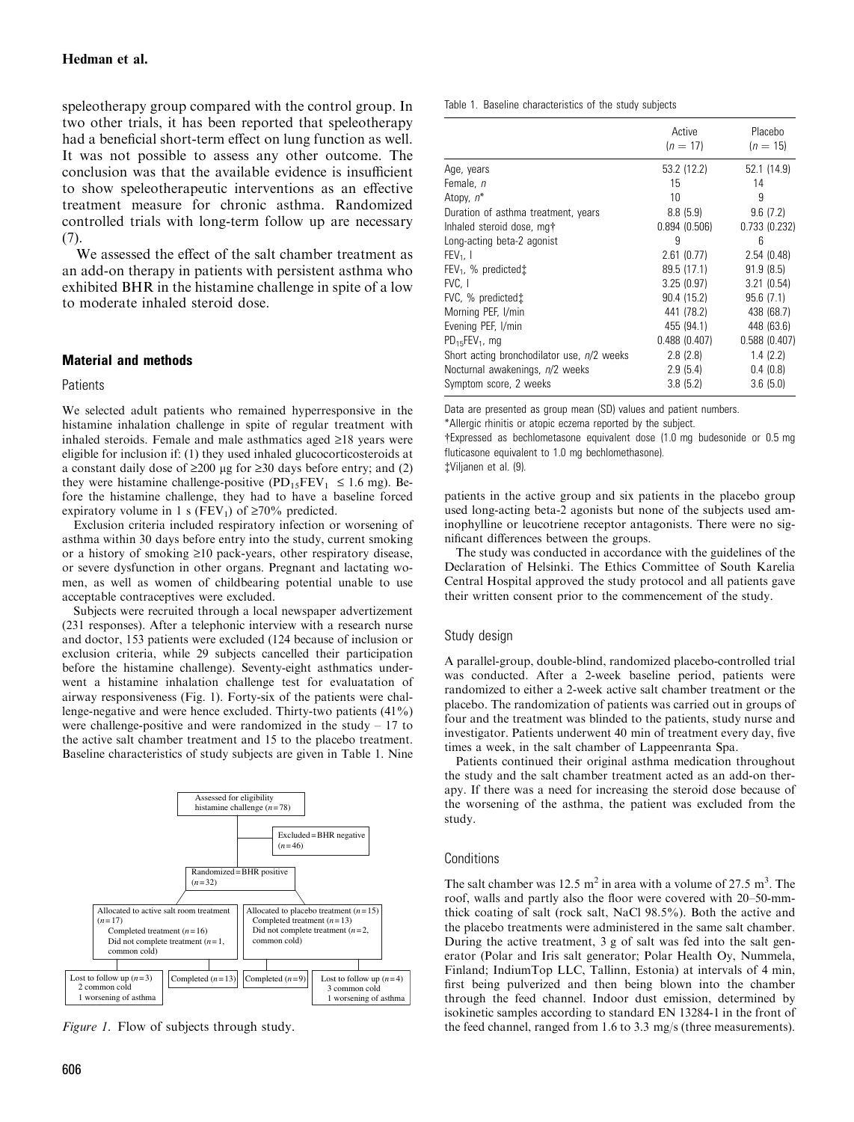speleotherapy group compared with the control group. In two other trials, it has been reported that speleotherapy had a beneficial short-term effect on lung function as well. It was not possible to assess any other outcome. The conclusion was that the available evidence is insufficient to show speleotherapeutic interventions as an effective treatment measure for chronic asthma. Randomized controlled trials with long-term follow up are necessary (7).

We assessed the effect of the salt chamber treatment as an add-on therapy in patients with persistent asthma who exhibited BHR in the histamine challenge in spite of a low to moderate inhaled steroid dose.

# Material and methods

#### **Patients**

We selected adult patients who remained hyperresponsive in the histamine inhalation challenge in spite of regular treatment with inhaled steroids. Female and male asthmatics aged  $\geq$ 18 years were eligible for inclusion if: (1) they used inhaled glucocorticosteroids at a constant daily dose of  $\geq 200$  µg for  $\geq 30$  days before entry; and (2) they were histamine challenge-positive  $(PD_{15}FEV_1 \le 1.6$  mg). Before the histamine challenge, they had to have a baseline forced expiratory volume in 1 s (FEV<sub>1</sub>) of  $\geq 70\%$  predicted.

Exclusion criteria included respiratory infection or worsening of asthma within 30 days before entry into the study, current smoking or a history of smoking  $\geq 10$  pack-years, other respiratory disease, or severe dysfunction in other organs. Pregnant and lactating women, as well as women of childbearing potential unable to use acceptable contraceptives were excluded.

Subjects were recruited through a local newspaper advertizement (231 responses). After a telephonic interview with a research nurse and doctor, 153 patients were excluded (124 because of inclusion or exclusion criteria, while 29 subjects cancelled their participation before the histamine challenge). Seventy-eight asthmatics underwent a histamine inhalation challenge test for evaluatation of airway responsiveness (Fig. 1). Forty-six of the patients were challenge-negative and were hence excluded. Thirty-two patients (41%) were challenge-positive and were randomized in the study – 17 to the active salt chamber treatment and 15 to the placebo treatment. Baseline characteristics of study subjects are given in Table 1. Nine



Figure 1. Flow of subjects through study.

Table 1. Baseline characteristics of the study subjects

|                                            | Active<br>$(n = 17)$ | Placebo<br>$(n = 15)$ |
|--------------------------------------------|----------------------|-----------------------|
| Age, years                                 | 53.2 (12.2)          | 52.1 (14.9)           |
| Female, n                                  | 15                   | 14                    |
| Atopy, $n^*$                               | 10                   | 9                     |
| Duration of asthma treatment, years        | 8.8(5.9)             | 9.6(7.2)              |
| Inhaled steroid dose, mg+                  | 0.894(0.506)         | 0.733(0.232)          |
| Long-acting beta-2 agonist                 | 9                    | 6                     |
| $FEV1$ . 1                                 | 2.61(0.77)           | 2.54(0.48)            |
| $FEV_1$ , % predicted $\ddagger$           | 89.5 (17.1)          | 91.9(8.5)             |
| FVC.1                                      | 3.25(0.97)           | 3.21(0.54)            |
| FVC, % predicted t                         | 90.4 (15.2)          | 95.6(7.1)             |
| Morning PEF, I/min                         | 441 (78.2)           | 438 (68.7)            |
| Evening PEF, I/min                         | 455 (94.1)           | 448 (63.6)            |
| $PD_{15}FEV_1$ , mg                        | 0.488(0.407)         | 0.588(0.407)          |
| Short acting bronchodilator use, n/2 weeks | 2.8(2.8)             | 1.4(2.2)              |
| Nocturnal awakenings, n/2 weeks            | 2.9(5.4)             | 0.4(0.8)              |
| Symptom score, 2 weeks                     | 3.8(5.2)             | 3.6(5.0)              |

Data are presented as group mean (SD) values and patient numbers.

\*Allergic rhinitis or atopic eczema reported by the subject.

#Expressed as bechlometasone equivalent dose (1.0 mg budesonide or 0.5 mg fluticasone equivalent to 1.0 mg bechlomethasone).

\$Viljanen et al. (9).

patients in the active group and six patients in the placebo group used long-acting beta-2 agonists but none of the subjects used aminophylline or leucotriene receptor antagonists. There were no significant differences between the groups.

The study was conducted in accordance with the guidelines of the Declaration of Helsinki. The Ethics Committee of South Karelia Central Hospital approved the study protocol and all patients gave their written consent prior to the commencement of the study.

## Study design

A parallel-group, double-blind, randomized placebo-controlled trial was conducted. After a 2-week baseline period, patients were randomized to either a 2-week active salt chamber treatment or the placebo. The randomization of patients was carried out in groups of four and the treatment was blinded to the patients, study nurse and investigator. Patients underwent 40 min of treatment every day, five times a week, in the salt chamber of Lappeenranta Spa.

Patients continued their original asthma medication throughout the study and the salt chamber treatment acted as an add-on therapy. If there was a need for increasing the steroid dose because of the worsening of the asthma, the patient was excluded from the study.

#### **Conditions**

The salt chamber was 12.5 m<sup>2</sup> in area with a volume of 27.5 m<sup>3</sup>. The roof, walls and partly also the floor were covered with 20–50-mmthick coating of salt (rock salt, NaCl 98.5%). Both the active and the placebo treatments were administered in the same salt chamber. During the active treatment, 3 g of salt was fed into the salt generator (Polar and Iris salt generator; Polar Health Oy, Nummela, Finland; IndiumTop LLC, Tallinn, Estonia) at intervals of 4 min, first being pulverized and then being blown into the chamber through the feed channel. Indoor dust emission, determined by isokinetic samples according to standard EN 13284-1 in the front of the feed channel, ranged from 1.6 to 3.3 mg/s (three measurements).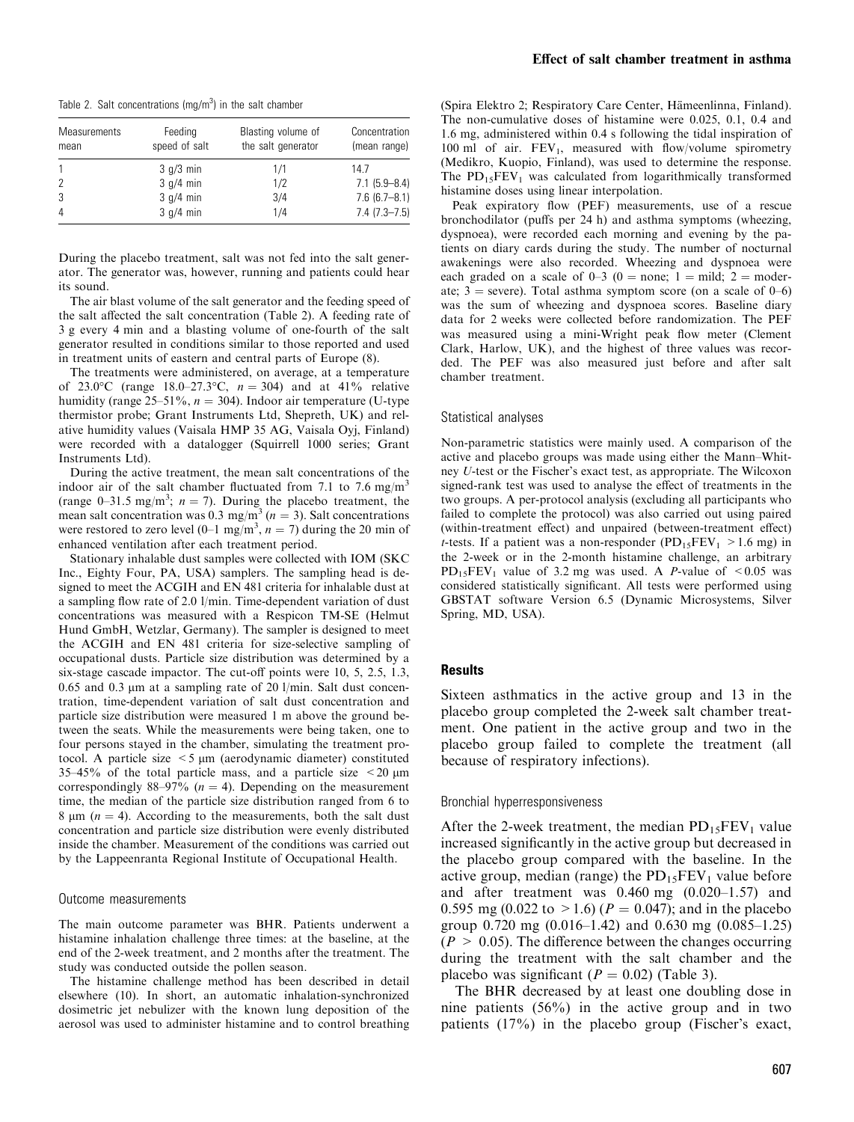Table 2. Salt concentrations (mg/m<sup>3</sup>) in the salt chamber

| <b>Measurements</b><br>mean | Feeding<br>speed of salt | Blasting volume of<br>the salt generator | Concentration<br>(mean range) |
|-----------------------------|--------------------------|------------------------------------------|-------------------------------|
|                             | $3$ g/ $3$ min           | 1/1                                      | 14.7                          |
|                             | 3 q/4 min                | 1/2                                      | $7.1(5.9 - 8.4)$              |
| 3                           | $3$ g/4 min              | 3/4                                      | $7.6(6.7 - 8.1)$              |
| 4                           | 3 q/4 min                | 1/4                                      | $7.4(7.3 - 7.5)$              |

During the placebo treatment, salt was not fed into the salt generator. The generator was, however, running and patients could hear its sound.

The air blast volume of the salt generator and the feeding speed of the salt affected the salt concentration (Table 2). A feeding rate of 3 g every 4 min and a blasting volume of one-fourth of the salt generator resulted in conditions similar to those reported and used in treatment units of eastern and central parts of Europe (8).

The treatments were administered, on average, at a temperature of 23.0°C (range 18.0–27.3°C,  $n = 304$ ) and at 41% relative humidity (range 25–51%,  $n = 304$ ). Indoor air temperature (U-type thermistor probe; Grant Instruments Ltd, Shepreth, UK) and relative humidity values (Vaisala HMP 35 AG, Vaisala Oyj, Finland) were recorded with a datalogger (Squirrell 1000 series; Grant Instruments Ltd).

During the active treatment, the mean salt concentrations of the indoor air of the salt chamber fluctuated from 7.1 to 7.6 mg/m<sup>3</sup> (range 0–31.5 mg/m<sup>3</sup>;  $n = 7$ ). During the placebo treatment, the mean salt concentration was 0.3 mg/m<sup>3</sup> ( $n = 3$ ). Salt concentrations were restored to zero level  $(0-1 \text{ mg/m}^3, n = 7)$  during the 20 min of enhanced ventilation after each treatment period.

Stationary inhalable dust samples were collected with IOM (SKC Inc., Eighty Four, PA, USA) samplers. The sampling head is designed to meet the ACGIH and EN 481 criteria for inhalable dust at a sampling flow rate of 2.0 l/min. Time-dependent variation of dust concentrations was measured with a Respicon TM-SE (Helmut Hund GmbH, Wetzlar, Germany). The sampler is designed to meet the ACGIH and EN 481 criteria for size-selective sampling of occupational dusts. Particle size distribution was determined by a six-stage cascade impactor. The cut-off points were 10, 5, 2.5, 1.3, 0.65 and 0.3  $\mu$ m at a sampling rate of 20 l/min. Salt dust concentration, time-dependent variation of salt dust concentration and particle size distribution were measured 1 m above the ground between the seats. While the measurements were being taken, one to four persons stayed in the chamber, simulating the treatment protocol. A particle size  $\leq$  5 µm (aerodynamic diameter) constituted 35–45% of the total particle mass, and a particle size  $\leq$ 20  $\mu$ m correspondingly 88–97% ( $n = 4$ ). Depending on the measurement time, the median of the particle size distribution ranged from 6 to 8  $\mu$ m (*n* = 4). According to the measurements, both the salt dust concentration and particle size distribution were evenly distributed inside the chamber. Measurement of the conditions was carried out by the Lappeenranta Regional Institute of Occupational Health.

#### Outcome measurements

The main outcome parameter was BHR. Patients underwent a histamine inhalation challenge three times: at the baseline, at the end of the 2-week treatment, and 2 months after the treatment. The study was conducted outside the pollen season.

The histamine challenge method has been described in detail elsewhere (10). In short, an automatic inhalation-synchronized dosimetric jet nebulizer with the known lung deposition of the aerosol was used to administer histamine and to control breathing

(Spira Elektro 2; Respiratory Care Center, Hämeenlinna, Finland). The non-cumulative doses of histamine were 0.025, 0.1, 0.4 and 1.6 mg, administered within 0.4 s following the tidal inspiration of 100 ml of air.  $FEV_1$ , measured with flow/volume spirometry (Medikro, Kuopio, Finland), was used to determine the response. The  $PD_{15}FEV_1$  was calculated from logarithmically transformed histamine doses using linear interpolation.

Peak expiratory flow (PEF) measurements, use of a rescue bronchodilator (puffs per 24 h) and asthma symptoms (wheezing, dyspnoea), were recorded each morning and evening by the patients on diary cards during the study. The number of nocturnal awakenings were also recorded. Wheezing and dyspnoea were each graded on a scale of  $0-3$  ( $0 =$  none; 1 = mild; 2 = moderate;  $3$  = severe). Total asthma symptom score (on a scale of 0–6) was the sum of wheezing and dyspnoea scores. Baseline diary data for 2 weeks were collected before randomization. The PEF was measured using a mini-Wright peak flow meter (Clement Clark, Harlow, UK), and the highest of three values was recorded. The PEF was also measured just before and after salt chamber treatment.

#### Statistical analyses

Non-parametric statistics were mainly used. A comparison of the active and placebo groups was made using either the Mann–Whitney U-test or the Fischer's exact test, as appropriate. The Wilcoxon signed-rank test was used to analyse the effect of treatments in the two groups. A per-protocol analysis (excluding all participants who failed to complete the protocol) was also carried out using paired (within-treatment effect) and unpaired (between-treatment effect) t-tests. If a patient was a non-responder  $(PD_{15}FEV_1 > 1.6$  mg) in the 2-week or in the 2-month histamine challenge, an arbitrary  $PD_{15}FEV_1$  value of 3.2 mg was used. A *P*-value of <0.05 was considered statistically significant. All tests were performed using GBSTAT software Version 6.5 (Dynamic Microsystems, Silver Spring, MD, USA).

# **Results**

Sixteen asthmatics in the active group and 13 in the placebo group completed the 2-week salt chamber treatment. One patient in the active group and two in the placebo group failed to complete the treatment (all because of respiratory infections).

# Bronchial hyperresponsiveness

After the 2-week treatment, the median  $PD_{15}FEV_1$  value increased significantly in the active group but decreased in the placebo group compared with the baseline. In the active group, median (range) the  $PD_{15}FEV_1$  value before and after treatment was 0.460 mg (0.020–1.57) and 0.595 mg (0.022 to  $>1.6$ ) ( $P = 0.047$ ); and in the placebo group 0.720 mg (0.016–1.42) and 0.630 mg (0.085–1.25)  $(P > 0.05)$ . The difference between the changes occurring during the treatment with the salt chamber and the placebo was significant ( $P = 0.02$ ) (Table 3).

The BHR decreased by at least one doubling dose in nine patients (56%) in the active group and in two patients (17%) in the placebo group (Fischer's exact,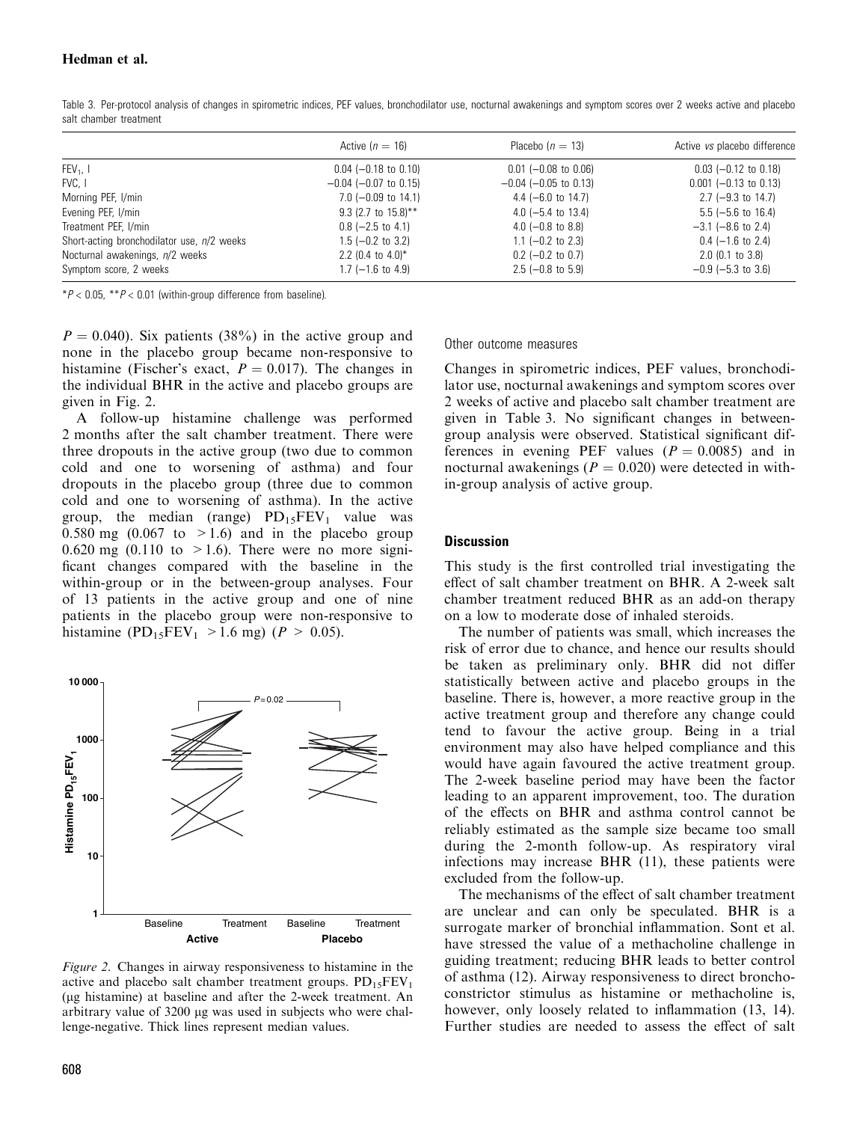# Hedman et al.

|                                            | Active $(n = 16)$          | Placebo $(n = 13)$            | Active vs placebo difference |
|--------------------------------------------|----------------------------|-------------------------------|------------------------------|
| $FEV_1$ , I                                | $0.04$ (-0.18 to 0.10)     | $0.01$ (-0.08 to 0.06)        | $0.03$ (-0.12 to 0.18)       |
| FVC. I                                     | $-0.04$ ( $-0.07$ to 0.15) | $-0.04$ ( $-0.05$ to 0.13)    | $0.001$ (-0.13 to 0.13)      |
| Morning PEF, I/min                         | $7.0$ (-0.09 to 14.1)      | 4.4 ( $-6.0$ to 14.7)         | $2.7$ (-9.3 to 14.7)         |
| Evening PEF, I/min                         | 9.3 (2.7 to $15.8$ )**     | 4.0 $(-5.4 \text{ to } 13.4)$ | $5.5$ (-5.6 to 16.4)         |
| Treatment PEF, I/min                       | $0.8$ (-2.5 to 4.1)        | 4.0 $(-0.8$ to 8.8)           | $-3.1$ ( $-8.6$ to 2.4)      |
| Short-acting bronchodilator use, n/2 weeks | $1.5$ (-0.2 to 3.2)        | $1.1$ (-0.2 to 2.3)           | $0.4$ (-1.6 to 2.4)          |
| Nocturnal awakenings, n/2 weeks            | 2.2 (0.4 to 4.0)*          | $0.2$ (-0.2 to 0.7)           | $2.0$ (0.1 to $3.8$ )        |
| Symptom score, 2 weeks                     | $1.7$ (-1.6 to 4.9)        | $2.5$ (-0.8 to 5.9)           | $-0.9$ ( $-5.3$ to 3.6)      |
|                                            |                            |                               |                              |

Table 3. Per-protocol analysis of changes in spirometric indices, PEF values, bronchodilator use, nocturnal awakenings and symptom scores over 2 weeks active and placebo salt chamber treatment

 $*P < 0.05$ ,  $*P < 0.01$  (within-group difference from baseline).

 $P = 0.040$ ). Six patients (38%) in the active group and none in the placebo group became non-responsive to histamine (Fischer's exact,  $P = 0.017$ ). The changes in the individual BHR in the active and placebo groups are given in Fig. 2.

A follow-up histamine challenge was performed 2 months after the salt chamber treatment. There were three dropouts in the active group (two due to common cold and one to worsening of asthma) and four dropouts in the placebo group (three due to common cold and one to worsening of asthma). In the active group, the median (range)  $PD_{15}FEV_1$  value was 0.580 mg  $(0.067 \text{ to } >1.6)$  and in the placebo group 0.620 mg (0.110 to  $>1.6$ ). There were no more significant changes compared with the baseline in the within-group or in the between-group analyses. Four of 13 patients in the active group and one of nine patients in the placebo group were non-responsive to histamine (PD<sub>15</sub>FEV<sub>1</sub> > 1.6 mg) ( $P > 0.05$ ).



Figure 2. Changes in airway responsiveness to histamine in the active and placebo salt chamber treatment groups.  $PD_{15}FEV_1$ (lg histamine) at baseline and after the 2-week treatment. An arbitrary value of 3200 µg was used in subjects who were challenge-negative. Thick lines represent median values.

#### Other outcome measures

Changes in spirometric indices, PEF values, bronchodilator use, nocturnal awakenings and symptom scores over 2 weeks of active and placebo salt chamber treatment are given in Table 3. No significant changes in betweengroup analysis were observed. Statistical significant differences in evening PEF values  $(P = 0.0085)$  and in nocturnal awakenings ( $P = 0.020$ ) were detected in within-group analysis of active group.

## **Discussion**

This study is the first controlled trial investigating the effect of salt chamber treatment on BHR. A 2-week salt chamber treatment reduced BHR as an add-on therapy on a low to moderate dose of inhaled steroids.

The number of patients was small, which increases the risk of error due to chance, and hence our results should be taken as preliminary only. BHR did not differ statistically between active and placebo groups in the baseline. There is, however, a more reactive group in the active treatment group and therefore any change could tend to favour the active group. Being in a trial environment may also have helped compliance and this would have again favoured the active treatment group. The 2-week baseline period may have been the factor leading to an apparent improvement, too. The duration of the effects on BHR and asthma control cannot be reliably estimated as the sample size became too small during the 2-month follow-up. As respiratory viral infections may increase BHR (11), these patients were excluded from the follow-up.

The mechanisms of the effect of salt chamber treatment are unclear and can only be speculated. BHR is a surrogate marker of bronchial inflammation. Sont et al. have stressed the value of a methacholine challenge in guiding treatment; reducing BHR leads to better control of asthma (12). Airway responsiveness to direct bronchoconstrictor stimulus as histamine or methacholine is, however, only loosely related to inflammation  $(13, 14)$ . Further studies are needed to assess the effect of salt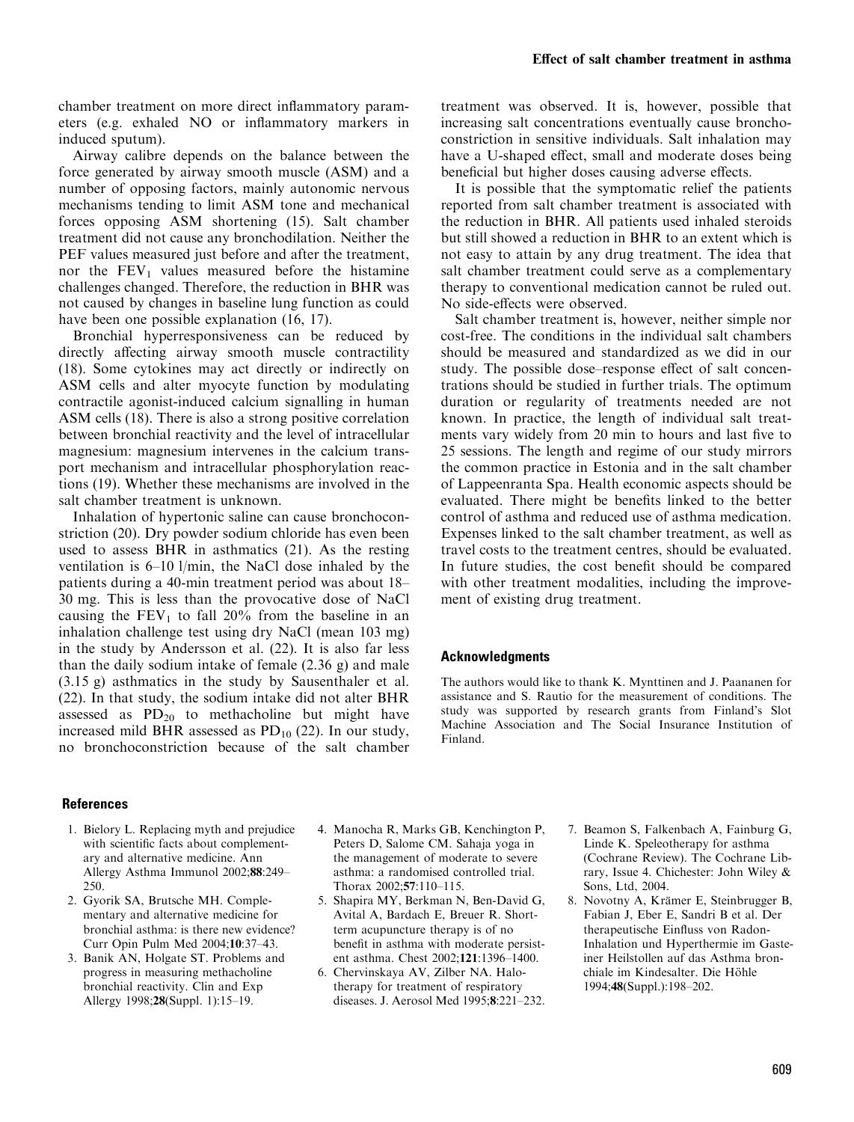chamber treatment on more direct inflammatory parameters (e.g. exhaled NO or inflammatory markers in induced sputum).

Airway calibre depends on the balance between the force generated by airway smooth muscle (ASM) and a number of opposing factors, mainly autonomic nervous mechanisms tending to limit ASM tone and mechanical forces opposing ASM shortening (15). Salt chamber treatment did not cause any bronchodilation. Neither the PEF values measured just before and after the treatment, nor the  $FEV<sub>1</sub>$  values measured before the histamine challenges changed. Therefore, the reduction in BHR was not caused by changes in baseline lung function as could have been one possible explanation (16, 17).

Bronchial hyperresponsiveness can be reduced by directly affecting airway smooth muscle contractility (18). Some cytokines may act directly or indirectly on ASM cells and alter myocyte function by modulating contractile agonist-induced calcium signalling in human ASM cells (18). There is also a strong positive correlation between bronchial reactivity and the level of intracellular magnesium: magnesium intervenes in the calcium transport mechanism and intracellular phosphorylation reactions (19). Whether these mechanisms are involved in the salt chamber treatment is unknown.

Inhalation of hypertonic saline can cause bronchoconstriction (20). Dry powder sodium chloride has even been used to assess BHR in asthmatics (21). As the resting ventilation is 6–10 l/min, the NaCl dose inhaled by the patients during a 40-min treatment period was about 18– 30 mg. This is less than the provocative dose of NaCl causing the  $FEV<sub>1</sub>$  to fall 20% from the baseline in an inhalation challenge test using dry NaCl (mean 103 mg) in the study by Andersson et al. (22). It is also far less than the daily sodium intake of female (2.36 g) and male (3.15 g) asthmatics in the study by Sausenthaler et al. (22). In that study, the sodium intake did not alter BHR assessed as  $PD_{20}$  to methacholine but might have increased mild BHR assessed as  $PD_{10}$  (22). In our study, no bronchoconstriction because of the salt chamber

treatment was observed. It is, however, possible that increasing salt concentrations eventually cause bronchoconstriction in sensitive individuals. Salt inhalation may have a U-shaped effect, small and moderate doses being beneficial but higher doses causing adverse effects.

It is possible that the symptomatic relief the patients reported from salt chamber treatment is associated with the reduction in BHR. All patients used inhaled steroids but still showed a reduction in BHR to an extent which is not easy to attain by any drug treatment. The idea that salt chamber treatment could serve as a complementary therapy to conventional medication cannot be ruled out. No side-effects were observed.

Salt chamber treatment is, however, neither simple nor cost-free. The conditions in the individual salt chambers should be measured and standardized as we did in our study. The possible dose–response effect of salt concentrations should be studied in further trials. The optimum duration or regularity of treatments needed are not known. In practice, the length of individual salt treatments vary widely from 20 min to hours and last five to 25 sessions. The length and regime of our study mirrors the common practice in Estonia and in the salt chamber of Lappeenranta Spa. Health economic aspects should be evaluated. There might be benefits linked to the better control of asthma and reduced use of asthma medication. Expenses linked to the salt chamber treatment, as well as travel costs to the treatment centres, should be evaluated. In future studies, the cost benefit should be compared with other treatment modalities, including the improvement of existing drug treatment.

# Acknowledgments

The authors would like to thank K. Mynttinen and J. Paananen for assistance and S. Rautio for the measurement of conditions. The study was supported by research grants from Finland's Slot Machine Association and The Social Insurance Institution of Finland.

## References

- 1. Bielory L. Replacing myth and prejudice with scientific facts about complementary and alternative medicine. Ann Allergy Asthma Immunol 2002;88:249– 250.
- 2. Gyorik SA, Brutsche MH. Complementary and alternative medicine for bronchial asthma: is there new evidence? Curr Opin Pulm Med 2004;10:37–43.
- 3. Banik AN, Holgate ST. Problems and progress in measuring methacholine bronchial reactivity. Clin and Exp Allergy 1998;28(Suppl. 1):15–19.
- 4. Manocha R, Marks GB, Kenchington P, Peters D, Salome CM. Sahaja yoga in the management of moderate to severe asthma: a randomised controlled trial. Thorax 2002;57:110–115.
- 5. Shapira MY, Berkman N, Ben-David G, Avital A, Bardach E, Breuer R. Shortterm acupuncture therapy is of no benefit in asthma with moderate persistent asthma. Chest 2002;121:1396–1400.
- 6. Chervinskaya AV, Zilber NA. Halotherapy for treatment of respiratory diseases. J. Aerosol Med 1995;8:221–232.
- 7. Beamon S, Falkenbach A, Fainburg G, Linde K. Speleotherapy for asthma (Cochrane Review). The Cochrane Library, Issue 4. Chichester: John Wiley & Sons, Ltd, 2004.
- 8. Novotny A, Krämer E, Steinbrugger B, Fabian J, Eber E, Sandri B et al. Der therapeutische Einfluss von Radon-Inhalation und Hyperthermie im Gasteiner Heilstollen auf das Asthma bronchiale im Kindesalter. Die Höhle 1994;48(Suppl.):198–202.